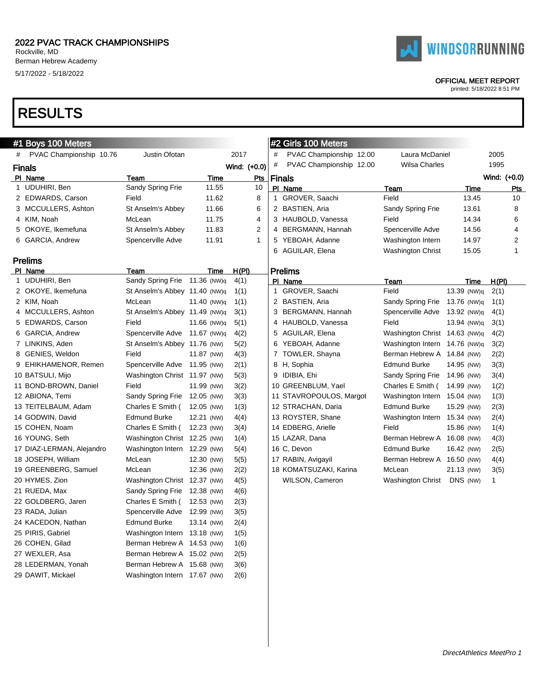

#### OFFICIAL MEET REPORT

printed: 5/18/2022 8:51 PM

|   | #1 Boys 100 Meters        |                               |             |              |   | #2 Girls 100 Meters     |                               |             |              |                |
|---|---------------------------|-------------------------------|-------------|--------------|---|-------------------------|-------------------------------|-------------|--------------|----------------|
| # | PVAC Championship 10.76   | Justin Ofotan                 |             | 2017         | # | PVAC Championship 12.00 | Laura McDaniel                |             | 2005         |                |
|   | <b>Finals</b>             |                               |             | Wind: (+0.0) | # | PVAC Championship 12.00 | Wilsa Charles                 |             | 1995         |                |
|   | PI Name                   | Team                          | <b>Time</b> | <u>Pts</u>   |   | <b>Finals</b>           |                               |             | Wind: (+0.0) |                |
|   | 1 UDUHIRI, Ben            | Sandy Spring Frie             | 11.55       | 10           |   | PI Name                 | Team                          | Time        |              | Pts            |
|   | 2 EDWARDS, Carson         | Field                         | 11.62       | 8            |   | 1 GROVER, Saachi        | Field                         | 13.45       |              | 10             |
|   | 3 MCCULLERS, Ashton       | St Anselm's Abbey             | 11.66       | 6            |   | 2 BASTIEN, Aria         | Sandy Spring Frie             | 13.61       |              | 8              |
|   | 4 KIM, Noah               | McLean                        | 11.75       | 4            |   | 3 HAUBOLD, Vanessa      | Field                         | 14.34       |              | 6              |
|   | 5 OKOYE, Ikemefuna        | St Anselm's Abbey             | 11.83       | 2            |   | 4 BERGMANN, Hannah      | Spencerville Adve             | 14.56       |              | 4              |
|   | 6 GARCIA, Andrew          | Spencerville Adve             | 11.91       | $\mathbf{1}$ |   | 5 YEBOAH, Adanne        | Washington Intern             | 14.97       |              | $\overline{2}$ |
|   |                           |                               |             |              | 6 | AGUILAR, Elena          | Washington Christ             | 15.05       |              | 1              |
|   | <b>Prelims</b>            |                               |             |              |   |                         |                               |             |              |                |
|   | PI Name                   | Team                          | Time        | <u>H(PI)</u> |   | Prelims                 |                               |             |              |                |
|   | 1 UDUHIRI, Ben            | Sandy Spring Frie             | 11.36 (NW)q | 4(1)         |   | PI Name                 | Team                          | Time        | H(PI)        |                |
|   | 2 OKOYE, Ikemefuna        | St Anselm's Abbey 11.40 (NW)q |             | 1(1)         |   | 1 GROVER, Saachi        | Field                         | 13.39 (NW)q | 2(1)         |                |
|   | 2 KIM, Noah               | McLean                        | 11.40 (NW)q | 1(1)         |   | 2 BASTIEN, Aria         | Sandy Spring Frie             | 13.76 (NW)q | 1(1)         |                |
|   | 4 MCCULLERS, Ashton       | St Anselm's Abbey 11.49 (NW)q |             | 3(1)         |   | 3 BERGMANN, Hannah      | Spencerville Adve 13.92 (NW)q |             | 4(1)         |                |
|   | 5 EDWARDS, Carson         | Field                         | 11.66 (NW)q | 5(1)         |   | 4 HAUBOLD, Vanessa      | Field                         | 13.94 (NW)q | 3(1)         |                |
|   | 6 GARCIA, Andrew          | Spencerville Adve 11.67 (NW)q |             | 4(2)         |   | 5 AGUILAR, Elena        | Washington Christ 14.63 (NW)q |             | 4(2)         |                |
|   | 7 LINKINS, Aden           | St Anselm's Abbey 11.76 (NW)  |             | 5(2)         |   | 6 YEBOAH, Adanne        | Washington Intern 14.76 (NW)q |             | 3(2)         |                |
|   | 8 GENIES, Weldon          | Field                         | 11.87 (NW)  | 4(3)         |   | 7 TOWLER, Shayna        | Berman Hebrew A 14.84 (NW)    |             | 2(2)         |                |
|   | 9 EHIKHAMENOR, Remen      | Spencerville Adve             | 11.95 (NW)  | 2(1)         |   | 8 H, Sophia             | <b>Edmund Burke</b>           | 14.95 (NW)  | 3(3)         |                |
|   | 10 BATSULI, Mijo          | Washington Christ 11.97 (NW)  |             | 5(3)         |   | 9 IDIBIA, Ehi           | Sandy Spring Frie 14.96 (NW)  |             | 3(4)         |                |
|   | 11 BOND-BROWN, Daniel     | Field                         | 11.99 (NW)  | 3(2)         |   | 10 GREENBLUM, Yael      | Charles E Smith (             | 14.99 (NW)  | 1(2)         |                |
|   | 12 ABIONA, Temi           | Sandy Spring Frie             | 12.05 (NW)  | 3(3)         |   | 11 STAVROPOULOS, Margot | Washington Intern 15.04 (NW)  |             | 1(3)         |                |
|   | 13 TEITELBAUM, Adam       | Charles E Smith (             | 12.05 (NW)  | 1(3)         |   | 12 STRACHAN, Daria      | <b>Edmund Burke</b>           | 15.29 (NW)  | 2(3)         |                |
|   | 14 GODWIN, David          | <b>Edmund Burke</b>           | 12.21 (NW)  | 4(4)         |   | 13 ROYSTER, Shane       | Washington Intern 15.34 (NW)  |             | 2(4)         |                |
|   | 15 COHEN, Noam            | Charles E Smith (             | 12.23 (NW)  | 3(4)         |   | 14 EDBERG, Arielle      | Field                         | 15.86 (NW)  | 1(4)         |                |
|   | 16 YOUNG, Seth            | Washington Christ 12.25 (NW)  |             | 1(4)         |   | 15 LAZAR, Dana          | Berman Hebrew A 16.08 (NW)    |             | 4(3)         |                |
|   | 17 DIAZ-LERMAN, Alejandro | Washington Intern 12.29 (NW)  |             | 5(4)         |   | 16 C, Devon             | <b>Edmund Burke</b>           | 16.42 (NW)  | 2(5)         |                |
|   | 18 JOSEPH, William        | McLean                        | 12.30 (NW)  | 5(5)         |   | 17 RABIN, Avigayil      | Berman Hebrew A 16.50 (NW)    |             | 4(4)         |                |
|   | 19 GREENBERG, Samuel      | McLean                        | 12.36 (NW)  | 2(2)         |   | 18 KOMATSUZAKI, Karina  | McLean                        | 21.13 (NW)  | 3(5)         |                |
|   | 20 HYMES, Zion            | Washington Christ 12.37 (NW)  |             | 4(5)         |   | WILSON, Cameron         | Washington Christ             | DNS (NW)    | 1            |                |
|   | 21 RUEDA, Max             | Sandy Spring Frie             | 12.38 (NW)  | 4(6)         |   |                         |                               |             |              |                |
|   | 22 GOLDBERG, Jaren        | Charles E Smith (             | 12.53 (NW)  | 2(3)         |   |                         |                               |             |              |                |
|   | 23 RADA, Julian           | Spencerville Adve             | 12.99 (NW)  | 3(5)         |   |                         |                               |             |              |                |
|   | 24 KACEDON, Nathan        | <b>Edmund Burke</b>           | 13.14 (NW)  | 2(4)         |   |                         |                               |             |              |                |
|   | 25 PIRIS, Gabriel         | Washington Intern 13.18 (NW)  |             | 1(5)         |   |                         |                               |             |              |                |
|   | 26 COHEN, Gilad           | Berman Hebrew A 14.53 (NW)    |             | 1(6)         |   |                         |                               |             |              |                |
|   | 27 WEXLER, Asa            | Berman Hebrew A 15.02 (NW)    |             | 2(5)         |   |                         |                               |             |              |                |
|   | 28 LEDERMAN, Yonah        | Berman Hebrew A 15.68 (NW)    |             | 3(6)         |   |                         |                               |             |              |                |
|   | 29 DAWIT, Mickael         | Washington Intern 17.67 (NW)  |             | 2(6)         |   |                         |                               |             |              |                |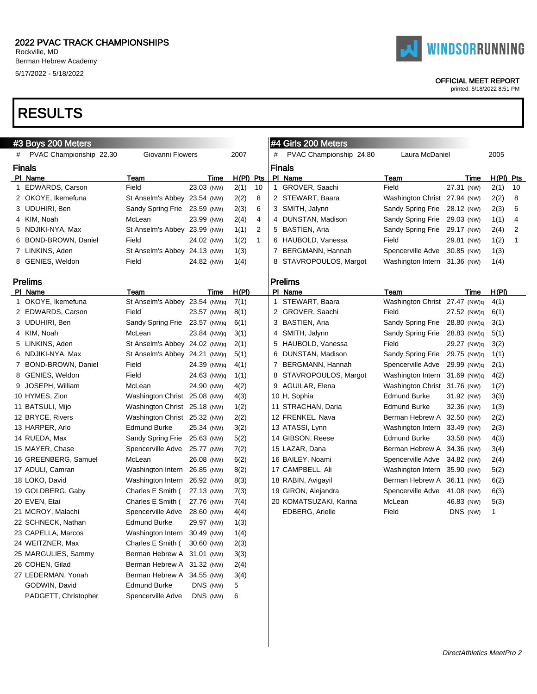

#### OFFICIAL MEET REPORT

printed: 5/18/2022 8:51 PM

| #3 Boys 200 Meters        |                               |             |             |    | #4 Girls 200 Meters     |                               |             |              |    |
|---------------------------|-------------------------------|-------------|-------------|----|-------------------------|-------------------------------|-------------|--------------|----|
| # PVAC Championship 22.30 | Giovanni Flowers              |             | 2007        |    | PVAC Championship 24.80 | Laura McDaniel                |             | 2005         |    |
| <b>Finals</b>             |                               |             |             |    | <b>Finals</b>           |                               |             |              |    |
| PI Name                   | <b>Team</b>                   | Time        | $H(PI)$ Pts |    | PI Name                 | Team                          | Time        | $H(PI)$ Pts  |    |
| 1 EDWARDS, Carson         | Field                         | 23.03 (NW)  | 2(1)        | 10 | 1 GROVER, Saachi        | Field                         | 27.31 (NW)  | 2(1)         | 10 |
| 2 OKOYE, Ikemefuna        | St Anselm's Abbey 23.54 (NW)  |             | 2(2)        | 8  | 2 STEWART, Baara        | Washington Christ 27.94 (NW)  |             | 2(2)         | 8  |
| 3 UDUHIRI, Ben            | Sandy Spring Frie             | 23.59 (NW)  | 2(3)        | 6  | 3 SMITH, Jalynn         | Sandy Spring Frie             | 28.12 (NW)  | 2(3)         | 6  |
| 4 KIM, Noah               | McLean                        | 23.99 (NW)  | 2(4)        | 4  | 4 DUNSTAN, Madison      | Sandy Spring Frie             | 29.03 (NW)  | 1(1)         | 4  |
| 5 NDJIKI-NYA, Max         | St Anselm's Abbey 23.99 (NW)  |             | 1(1)        | 2  | 5 BASTIEN, Aria         | Sandy Spring Frie 29.17 (NW)  |             | 2(4)         | 2  |
| 6 BOND-BROWN, Daniel      | Field                         | 24.02 (NW)  | 1(2)        | 1  | 6 HAUBOLD, Vanessa      | Field                         | 29.81 (NW)  | 1(2)         | 1  |
| 7 LINKINS, Aden           | St Anselm's Abbey 24.13 (NW)  |             | 1(3)        |    | 7 BERGMANN, Hannah      | Spencerville Adve 30.85 (NW)  |             | 1(3)         |    |
| 8 GENIES, Weldon          | Field                         | 24.82 (NW)  | 1(4)        |    | 8 STAVROPOULOS, Margot  | Washington Intern 31.36 (NW)  |             | 1(4)         |    |
|                           |                               |             |             |    |                         |                               |             |              |    |
| <b>Prelims</b>            |                               |             |             |    | <b>Prelims</b>          |                               |             |              |    |
| PI Name                   | Team                          | Time        | H(PI)       |    | PI Name                 | Team                          | Time        | H(PI)        |    |
| 1 OKOYE, Ikemefuna        | St Anselm's Abbey 23.54 (NW)q |             | 7(1)        |    | 1 STEWART, Baara        | Washington Christ 27.47 (NW)q |             | 4(1)         |    |
| 2 EDWARDS, Carson         | Field                         | 23.57 (NW)q | 8(1)        |    | 2 GROVER, Saachi        | Field                         | 27.52 (NW)q | 6(1)         |    |
| 3 UDUHIRI, Ben            | Sandy Spring Frie 23.57 (NW)q |             | 6(1)        |    | 3 BASTIEN, Aria         | Sandy Spring Frie             | 28.80 (NW)q | 3(1)         |    |
| 4 KIM, Noah               | McLean                        | 23.84 (NW)q | 3(1)        |    | 4 SMITH, Jalynn         | Sandy Spring Frie             | 28.83 (NW)q | 5(1)         |    |
| 5 LINKINS, Aden           | St Anselm's Abbey 24.02 (NW)q |             | 2(1)        |    | 5 HAUBOLD, Vanessa      | Field                         | 29.27 (NW)q | 3(2)         |    |
| 6 NDJIKI-NYA, Max         | St Anselm's Abbey 24.21 (NW)q |             | 5(1)        |    | 6 DUNSTAN, Madison      | Sandy Spring Frie             | 29.75 (NW)q | 1(1)         |    |
| 7 BOND-BROWN, Daniel      | Field                         | 24.39 (NW)q | 4(1)        |    | 7 BERGMANN, Hannah      | Spencerville Adve             | 29.99 (NW)q | 2(1)         |    |
| 8 GENIES, Weldon          | Field                         | 24.63 (NW)q | 1(1)        |    | 8 STAVROPOULOS, Margot  | Washington Intern 31.69 (NW)q |             | 4(2)         |    |
| 9 JOSEPH, William         | McLean                        | 24.90 (NW)  | 4(2)        |    | 9 AGUILAR, Elena        | Washington Christ 31.76 (NW)  |             | 1(2)         |    |
| 10 HYMES, Zion            | Washington Christ 25.08 (NW)  |             | 4(3)        |    | 10 H, Sophia            | Edmund Burke                  | 31.92 (NW)  | 3(3)         |    |
| 11 BATSULI, Mijo          | Washington Christ 25.18 (NW)  |             | 1(2)        |    | 11 STRACHAN, Daria      | Edmund Burke                  | 32.36 (NW)  | 1(3)         |    |
| 12 BRYCE, Rivers          | Washington Christ 25.32 (NW)  |             | 2(2)        |    | 12 FRENKEL, Nava        | Berman Hebrew A 32.50 (NW)    |             | 2(2)         |    |
| 13 HARPER, Arlo           | <b>Edmund Burke</b>           | 25.34 (NW)  | 3(2)        |    | 13 ATASSI, Lynn         | Washington Intern 33.49 (NW)  |             | 2(3)         |    |
| 14 RUEDA, Max             | Sandy Spring Frie             | 25.63 (NW)  | 5(2)        |    | 14 GIBSON, Reese        | <b>Edmund Burke</b>           | 33.58 (NW)  | 4(3)         |    |
| 15 MAYER, Chase           | Spencerville Adve             | 25.77 (NW)  | 7(2)        |    | 15 LAZAR, Dana          | Berman Hebrew A 34.36 (NW)    |             | 3(4)         |    |
| 16 GREENBERG, Samuel      | McLean                        | 26.08 (NW)  | 6(2)        |    | 16 BAILEY, Noami        | Spencerville Adve             | 34.82 (NW)  | 2(4)         |    |
| 17 ADULI, Camran          | Washington Intern             | 26.85 (NW)  | 8(2)        |    | 17 CAMPBELL, Ali        | Washington Intern 35.90 (NW)  |             | 5(2)         |    |
| 18 LOKO, David            | Washington Intern             | 26.92 (NW)  | 8(3)        |    | 18 RABIN, Avigayil      | Berman Hebrew A 36.11 (NW)    |             | 6(2)         |    |
| 19 GOLDBERG, Gaby         | Charles E Smith (             | 27.13 (NW)  | 7(3)        |    | 19 GIRON, Alejandra     | Spencerville Adve             | 41.08 (NW)  | 6(3)         |    |
| 20 EVEN, Etai             | Charles E Smith (             | 27.76 (NW)  | 7(4)        |    | 20 KOMATSUZAKI, Karina  | McLean                        | 46.83 (NW)  | 5(3)         |    |
| 21 MCROY, Malachi         | Spencerville Adve             | 28.60 (NW)  | 4(4)        |    | EDBERG, Arielle         | Field                         | DNS (NW)    | $\mathbf{1}$ |    |
| 22 SCHNECK, Nathan        | <b>Edmund Burke</b>           | 29.97 (NW)  | 1(3)        |    |                         |                               |             |              |    |
| 23 CAPELLA, Marcos        | Washington Intern 30.49 (NW)  |             | 1(4)        |    |                         |                               |             |              |    |
| 24 WEITZNER, Max          | Charles E Smith (             | 30.60 (NW)  | 2(3)        |    |                         |                               |             |              |    |
| 25 MARGULIES, Sammy       | Berman Hebrew A 31.01 (NW)    |             | 3(3)        |    |                         |                               |             |              |    |
| 26 COHEN, Gilad           | Berman Hebrew A 31.32 (NW)    |             | 2(4)        |    |                         |                               |             |              |    |
| 27 LEDERMAN, Yonah        | Berman Hebrew A 34.55 (NW)    |             | 3(4)        |    |                         |                               |             |              |    |
| GODWIN, David             | <b>Edmund Burke</b>           | DNS (NW)    | 5           |    |                         |                               |             |              |    |
| PADGETT, Christopher      | Spencerville Adve             | DNS (NW)    | 6           |    |                         |                               |             |              |    |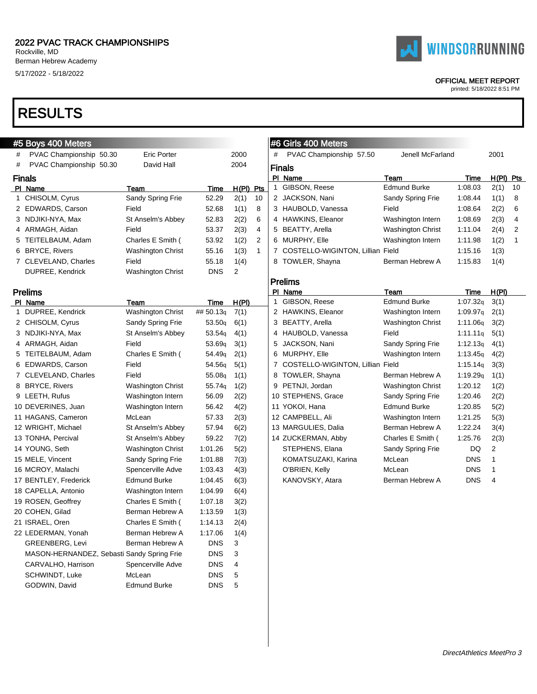# PVAC Championship 50.30 Eric Porter # PVAC Championship 50.30 David Hall

1 CHISOLM, Cyrus Sandy Spring Frie

3 NDJIKI-NYA, Max St Anselm's Abbey

5 TEITELBAUM, Adam Charles E Smith ( 6 BRYCE, Rivers Washington Christ

DUPREE, Kendrick Washington Christ

PI Name Team

2 EDWARDS, Carson Field

4 ARMAGH, Aidan Field

7 CLEVELAND, Charles Field

PI Name Team



#5 Boys 400 Meters

Finals

Prelims

|            |       |     |                      | #6 Girls 400 Meters              |                          |             |             |    |
|------------|-------|-----|----------------------|----------------------------------|--------------------------|-------------|-------------|----|
|            | 2000  |     | #                    | PVAC Championship 57.50          | Jenell McFarland         |             | 2001        |    |
|            | 2004  |     |                      | <b>Finals</b>                    |                          |             |             |    |
|            |       |     |                      | PI Name                          | Team                     | <b>Time</b> | $H(PI)$ Pts |    |
| Time       | H(PI) | Pts | 1.                   | GIBSON, Reese                    | <b>Edmund Burke</b>      | 1:08.03     | 2(1)        | 10 |
| 52.29      | 2(1)  | 10  | $\mathbf{2}^{\circ}$ | JACKSON, Nani                    | Sandy Spring Frie        | 1:08.44     | 1(1)        | 8  |
| 52.68      | 1(1)  | 8   |                      | 3 HAUBOLD, Vanessa               | Field                    | 1:08.64     | 2(2)        | 6  |
| 52.83      | 2(2)  | 6   | 4                    | HAWKINS, Eleanor                 | Washington Intern        | 1:08.69     | 2(3)        | 4  |
| 53.37      | 2(3)  | 4   | 5                    | <b>BEATTY, Arella</b>            | <b>Washington Christ</b> | 1:11.04     | 2(4)        | 2  |
| 53.92      | 1(2)  | 2   | 6                    | MURPHY, Elle                     | Washington Intern        | 1:11.98     | 1(2)        | 1  |
| 55.16      | 1(3)  | 1   |                      | COSTELLO-WIGINTON, Lillian Field |                          | 1:15.16     | 1(3)        |    |
| 55.18      | 1(4)  |     | 8                    | TOWLER, Shayna                   | Berman Hebrew A          | 1:15.83     | 1(4)        |    |
| <b>DNS</b> | 2     |     |                      |                                  |                          |             |             |    |
|            |       |     |                      | <b>Prelims</b>                   |                          |             |             |    |
|            |       |     |                      | PI Name                          | Team                     | <b>Time</b> | H(PI)       |    |
| Time       | H(PI) |     | 1                    | GIBSON, Reese                    | <b>Edmund Burke</b>      | 1:07.32q    | 3(1)        |    |
| ## 50.13q  | 7(1)  |     | 2                    | <b>HAWKINS, Eleanor</b>          | Washington Intern        | 1:09.97q    | 2(1)        |    |
| 53.50q     | 6(1)  |     | 3                    | <b>BEATTY, Arella</b>            | <b>Washington Christ</b> | 1:11.06q    | 3(2)        |    |
| 53.54g     | 4(1)  |     | 4                    | HAUBOLD, Vanessa                 | Field                    | 1:11.11q    | 5(1)        |    |
| 53.69q     | 3(1)  |     | 5                    | JACKSON, Nani                    | Sandy Spring Frie        | 1:12.13q    | 4(1)        |    |
| 54.49g     | 2(1)  |     | 6                    | MURPHY, Elle                     | Washington Intern        | 1:13.45q    | 4(2)        |    |
| 54.56g     | 5(1)  |     | 7                    | COSTELLO-WIGINTON, Lillian Field |                          | 1:15.14q    | 3(3)        |    |
| 55.08g     | 1(1)  |     | 8                    | TOWLER, Shayna                   | Berman Hebrew A          | 1:19.29q    | 1(1)        |    |
| 55.74g     | 1(2)  |     | 9                    | PETNJI, Jordan                   | <b>Washington Christ</b> | 1:20.12     | 1(2)        |    |
| 56.09      | 2(2)  |     |                      | 10 STEPHENS, Grace               | Sandy Spring Frie        | 1:20.46     | 2(2)        |    |

| 1 DUPREE, Kendrick                         | Washington Christ   | ## 50.13 <sub>9</sub> | 7(1) |  |
|--------------------------------------------|---------------------|-----------------------|------|--|
| 2 CHISOLM, Cyrus                           | Sandy Spring Frie   | 53.50q                | 6(1) |  |
| 3 NDJIKI-NYA, Max                          | St Anselm's Abbey   | 53.54 <sub>g</sub>    | 4(1) |  |
| 4 ARMAGH, Aidan                            | Field               | 53.69 <sub>a</sub>    | 3(1) |  |
| 5 TEITELBAUM, Adam                         | Charles E Smith (   | 54.49 <sub>g</sub>    | 2(1) |  |
| 6 EDWARDS, Carson                          | Field               | 54.56g                | 5(1) |  |
| 7 CLEVELAND, Charles                       | Field               | 55.08 <sub>g</sub>    | 1(1) |  |
| 8 BRYCE, Rivers                            | Washington Christ   | 55.74 <sub>q</sub>    | 1(2) |  |
| 9 LEETH, Rufus                             | Washington Intern   | 56.09                 | 2(2) |  |
| 10 DEVERINES, Juan                         | Washington Intern   | 56.42                 | 4(2) |  |
| 11 HAGANS, Cameron                         | McLean              | 57.33                 | 2(3) |  |
| 12 WRIGHT, Michael                         | St Anselm's Abbey   | 57.94                 | 6(2) |  |
| 13 TONHA, Percival                         | St Anselm's Abbey   | 59.22                 | 7(2) |  |
| 14 YOUNG, Seth                             | Washington Christ   | 1:01.26               | 5(2) |  |
| 15 MELE, Vincent                           | Sandy Spring Frie   | 1:01.88               | 7(3) |  |
| 16 MCROY, Malachi                          | Spencerville Adve   | 1:03.43               | 4(3) |  |
| 17 BENTLEY, Frederick                      | <b>Edmund Burke</b> | 1:04.45               | 6(3) |  |
| 18 CAPELLA, Antonio                        | Washington Intern   | 1:04.99               | 6(4) |  |
| 19 ROSEN, Geoffrey                         | Charles E Smith (   | 1:07.18               | 3(2) |  |
| 20 COHEN, Gilad                            | Berman Hebrew A     | 1:13.59               | 1(3) |  |
| 21 ISRAEL, Oren                            | Charles E Smith (   | 1:14.13               | 2(4) |  |
| 22 LEDERMAN, Yonah                         | Berman Hebrew A     | 1:17.06               | 1(4) |  |
| <b>GREENBERG, Levi</b>                     | Berman Hebrew A     | <b>DNS</b>            | 3    |  |
| MASON-HERNANDEZ, Sebasti Sandy Spring Frie |                     | <b>DNS</b>            | 3    |  |
| CARVALHO, Harrison                         | Spencerville Adve   | <b>DNS</b>            | 4    |  |
| SCHWINDT, Luke                             | McLean              | <b>DNS</b>            | 5    |  |
| GODWIN, David                              | <b>Edmund Burke</b> | <b>DNS</b>            | 5    |  |

|   | 2 HAWKINS, Eleanor               | Washington Intern        | 1:09.97q | 2(1) |
|---|----------------------------------|--------------------------|----------|------|
|   | 3 BEATTY, Arella                 | <b>Washington Christ</b> | 1:11.06q | 3(2) |
|   | 4 HAUBOLD, Vanessa               | Field                    | 1:11.11q | 5(1) |
|   | 5 JACKSON, Nani                  | Sandy Spring Frie        | 1:12.13q | 4(1) |
| 6 | MURPHY, Elle                     | Washington Intern        | 1:13.45q | 4(2) |
| 7 | COSTELLO-WIGINTON, Lillian Field |                          | 1:15.14q | 3(3) |
|   | 8 TOWLER, Shayna                 | Berman Hebrew A          | 1:19.29q | 1(1) |
|   | 9 PETNJI, Jordan                 | <b>Washington Christ</b> | 1:20.12  | 1(2) |
|   | 10 STEPHENS, Grace               | Sandy Spring Frie        | 1:20.46  | 2(2) |
|   | 11 YOKOI, Hana                   | Edmund Burke             | 1:20.85  | 5(2) |
|   | 12 CAMPBELL, Ali                 | Washington Intern        | 1:21.25  | 5(3) |
|   | 13 MARGULIES, Dalia              | Berman Hebrew A          | 1:22.24  | 3(4) |
|   | 14 ZUCKERMAN, Abby               | Charles E Smith (        | 1:25.76  | 2(3) |
|   | STEPHENS, Elana                  | Sandy Spring Frie        | DQ       | 2    |
|   | KOMATSUZAKI, Karina              | McLean                   | DNS      | 1    |

O'BRIEN, Kelly McLean DNS 1 KANOVSKY, Atara Berman Hebrew A DNS 4



# OFFICIAL MEET REPORT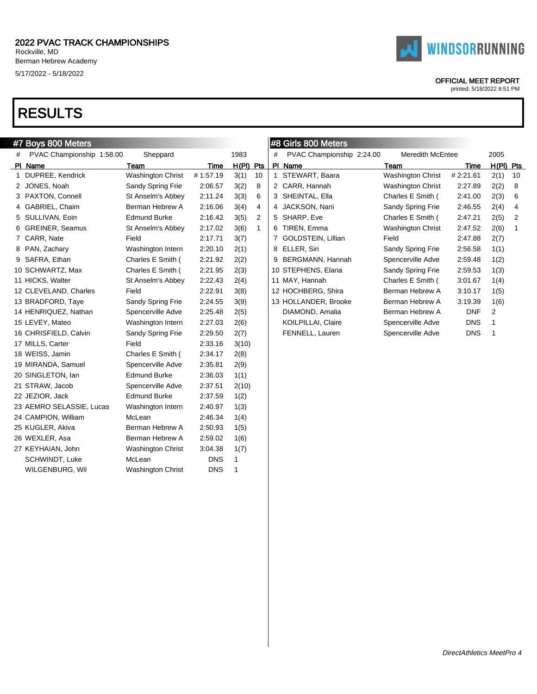



#### OFFICIAL MEET REPORT

|   | #7 Boys 800 Meters        |                          |            | #8 Girls 800 Meters |              |   |                           |                          |            |             |    |
|---|---------------------------|--------------------------|------------|---------------------|--------------|---|---------------------------|--------------------------|------------|-------------|----|
| # | PVAC Championship 1:58.00 | Sheppard                 |            | 1983                |              | # | PVAC Championship 2:24.00 | <b>Meredith McEntee</b>  |            | 2005        |    |
|   | PI Name                   | Team                     | Time       | $H(PI)$ Pts         |              |   | PI Name                   | <b>Team</b>              | Time       | $H(PI)$ Pts |    |
|   | 1 DUPREE, Kendrick        | <b>Washington Christ</b> | #1:57.19   | 3(1)                | 10           |   | 1 STEWART, Baara          | Washington Christ        | #2:21.61   | 2(1)        | 10 |
|   | 2 JONES, Noah             | Sandy Spring Frie        | 2:06.57    | 3(2)                | 8            |   | 2 CARR, Hannah            | <b>Washington Christ</b> | 2:27.89    | 2(2)        | 8  |
|   | 3 PAXTON, Connell         | St Anselm's Abbey        | 2:11.24    | 3(3)                | 6            |   | 3 SHEINTAL, Ella          | Charles E Smith (        | 2:41.00    | 2(3)        | 6  |
|   | 4 GABRIEL, Chaim          | Berman Hebrew A          | 2:16.06    | 3(4)                | 4            |   | 4 JACKSON, Nani           | Sandy Spring Frie        | 2:46.55    | 2(4)        | 4  |
|   | 5 SULLIVAN, Eoin          | <b>Edmund Burke</b>      | 2:16.42    | 3(5)                | 2            |   | 5 SHARP, Eve              | Charles E Smith (        | 2:47.21    | 2(5)        | 2  |
|   | 6 GREINER, Seamus         | St Anselm's Abbey        | 2:17.02    | 3(6)                | $\mathbf{1}$ |   | 6 TIREN, Emma             | <b>Washington Christ</b> | 2:47.52    | 2(6)        | 1  |
|   | 7 CARR, Nate              | Field                    | 2:17.71    | 3(7)                |              |   | 7 GOLDSTEIN, Lillian      | Field                    | 2:47.88    | 2(7)        |    |
|   | 8 PAN, Zachary            | Washington Intern        | 2:20.10    | 2(1)                |              |   | 8 ELLER, Siri             | Sandy Spring Frie        | 2:56.58    | 1(1)        |    |
|   | 9 SAFRA, Ethan            | Charles E Smith (        | 2:21.92    | 2(2)                |              |   | 9 BERGMANN, Hannah        | Spencerville Adve        | 2:59.48    | 1(2)        |    |
|   | 10 SCHWARTZ, Max          | Charles E Smith (        | 2:21.95    | 2(3)                |              |   | 10 STEPHENS, Elana        | Sandy Spring Frie        | 2:59.53    | 1(3)        |    |
|   | 11 HICKS, Walter          | St Anselm's Abbey        | 2:22.43    | 2(4)                |              |   | 11 MAY, Hannah            | Charles E Smith (        | 3:01.67    | 1(4)        |    |
|   | 12 CLEVELAND, Charles     | Field                    | 2:22.91    | 3(8)                |              |   | 12 HOCHBERG, Shira        | Berman Hebrew A          | 3:10.17    | 1(5)        |    |
|   | 13 BRADFORD, Taye         | Sandy Spring Frie        | 2:24.55    | 3(9)                |              |   | 13 HOLLANDER, Brooke      | Berman Hebrew A          | 3:19.39    | 1(6)        |    |
|   | 14 HENRIQUEZ, Nathan      | Spencerville Adve        | 2:25.48    | 2(5)                |              |   | DIAMOND, Amalia           | Berman Hebrew A          | <b>DNF</b> | 2           |    |
|   | 15 LEVEY, Mateo           | Washington Intern        | 2:27.03    | 2(6)                |              |   | KOILPILLAI, Claire        | Spencerville Adve        | <b>DNS</b> | 1           |    |
|   | 16 CHRISFIELD, Calvin     | Sandy Spring Frie        | 2:29.50    | 2(7)                |              |   | FENNELL, Lauren           | Spencerville Adve        | <b>DNS</b> | -1          |    |
|   | 17 MILLS, Carter          | Field                    | 2:33.16    | 3(10)               |              |   |                           |                          |            |             |    |
|   | 18 WEISS, Jamin           | Charles E Smith (        | 2:34.17    | 2(8)                |              |   |                           |                          |            |             |    |
|   | 19 MIRANDA, Samuel        | Spencerville Adve        | 2:35.81    | 2(9)                |              |   |                           |                          |            |             |    |
|   | 20 SINGLETON, Ian         | <b>Edmund Burke</b>      | 2:36.03    | 1(1)                |              |   |                           |                          |            |             |    |
|   | 21 STRAW, Jacob           | Spencerville Adve        | 2:37.51    | 2(10)               |              |   |                           |                          |            |             |    |
|   | 22 JEZIOR, Jack           | <b>Edmund Burke</b>      | 2:37.59    | 1(2)                |              |   |                           |                          |            |             |    |
|   | 23 AEMRO SELASSIE, Lucas  | Washington Intern        | 2:40.97    | 1(3)                |              |   |                           |                          |            |             |    |
|   | 24 CAMPION, William       | McLean                   | 2:46.34    | 1(4)                |              |   |                           |                          |            |             |    |
|   | 25 KUGLER, Akiva          | Berman Hebrew A          | 2:50.93    | 1(5)                |              |   |                           |                          |            |             |    |
|   | 26 WEXLER, Asa            | Berman Hebrew A          | 2:59.02    | 1(6)                |              |   |                           |                          |            |             |    |
|   | 27 KEYHAIAN, John         | <b>Washington Christ</b> | 3:04.38    | 1(7)                |              |   |                           |                          |            |             |    |
|   | SCHWINDT, Luke            | McLean                   | <b>DNS</b> | 1                   |              |   |                           |                          |            |             |    |
|   | WILGENBURG, Wil           | <b>Washington Christ</b> | <b>DNS</b> | 1                   |              |   |                           |                          |            |             |    |
|   |                           |                          |            |                     |              |   |                           |                          |            |             |    |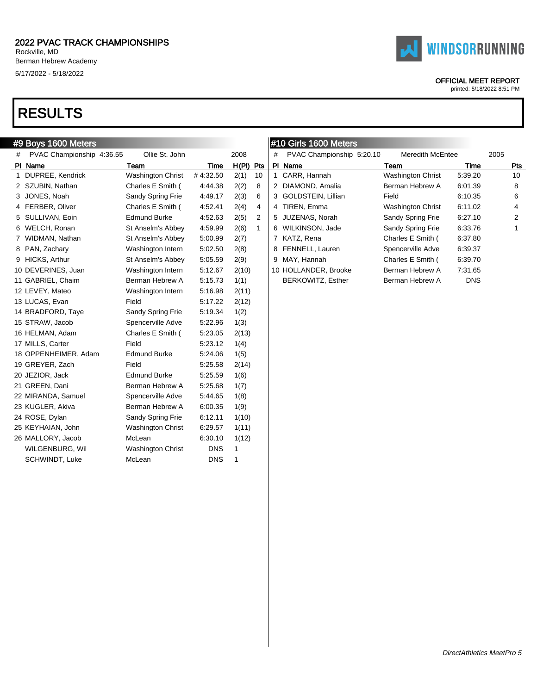

### OFFICIAL MEET REPORT

printed: 5/18/2022 8:51 PM

|   | #9 Boys 1600 Meters       |                          |            |             |    | ∥#10 Girls 1600 Meters |                           |                          |             |      |
|---|---------------------------|--------------------------|------------|-------------|----|------------------------|---------------------------|--------------------------|-------------|------|
| # | PVAC Championship 4:36.55 | Ollie St. John           |            | 2008        |    | #                      | PVAC Championship 5:20.10 | <b>Meredith McEntee</b>  |             | 2005 |
|   | PI Name                   | Team                     | Time       | $H(PI)$ Pts |    |                        | PI Name                   | Team                     | <b>Time</b> | Pts  |
|   | 1 DUPREE, Kendrick        | <b>Washington Christ</b> | #4:32.50   | 2(1)        | 10 |                        | 1 CARR, Hannah            | Washington Christ        | 5:39.20     | 10   |
|   | 2 SZUBIN, Nathan          | Charles E Smith (        | 4.44.38    | 2(2)        | 8  |                        | 2 DIAMOND, Amalia         | Berman Hebrew A          | 6:01.39     | 8    |
|   | 3 JONES, Noah             | Sandy Spring Frie        | 4:49.17    | 2(3)        | 6  |                        | 3 GOLDSTEIN, Lillian      | Field                    | 6:10.35     | 6    |
|   | 4 FERBER, Oliver          | Charles E Smith (        | 4:52.41    | 2(4)        | 4  |                        | 4 TIREN, Emma             | <b>Washington Christ</b> | 6:11.02     | 4    |
|   | 5 SULLIVAN, Eoin          | <b>Edmund Burke</b>      | 4:52.63    | 2(5)        | 2  |                        | 5 JUZENAS, Norah          | Sandy Spring Frie        | 6:27.10     | 2    |
|   | 6 WELCH, Ronan            | St Anselm's Abbey        | 4:59.99    | 2(6)        | 1  |                        | 6 WILKINSON, Jade         | Sandy Spring Frie        | 6:33.76     | 1    |
|   | 7 WIDMAN, Nathan          | St Anselm's Abbey        | 5:00.99    | 2(7)        |    |                        | 7 KATZ, Rena              | Charles E Smith (        | 6:37.80     |      |
|   | 8 PAN, Zachary            | Washington Intern        | 5:02.50    | 2(8)        |    |                        | 8 FENNELL, Lauren         | Spencerville Adve        | 6:39.37     |      |
|   | 9 HICKS, Arthur           | St Anselm's Abbey        | 5:05.59    | 2(9)        |    |                        | 9 MAY, Hannah             | Charles E Smith (        | 6:39.70     |      |
|   | 10 DEVERINES, Juan        | Washington Intern        | 5:12.67    | 2(10)       |    |                        | 10 HOLLANDER, Brooke      | Berman Hebrew A          | 7:31.65     |      |
|   | 11 GABRIEL, Chaim         | Berman Hebrew A          | 5.15.73    | 1(1)        |    |                        | BERKOWITZ, Esther         | Berman Hebrew A          | <b>DNS</b>  |      |
|   | 12 LEVEY, Mateo           | Washington Intern        | 5:16.98    | 2(11)       |    |                        |                           |                          |             |      |
|   | 13 LUCAS, Evan            | Field                    | 5:17.22    | 2(12)       |    |                        |                           |                          |             |      |
|   | 14 BRADFORD, Taye         | Sandy Spring Frie        | 5:19.34    | 1(2)        |    |                        |                           |                          |             |      |
|   | 15 STRAW, Jacob           | Spencerville Adve        | 5:22.96    | 1(3)        |    |                        |                           |                          |             |      |
|   | 16 HELMAN, Adam           | Charles E Smith (        | 5:23.05    | 2(13)       |    |                        |                           |                          |             |      |
|   | 17 MILLS, Carter          | Field                    | 5:23.12    | 1(4)        |    |                        |                           |                          |             |      |
|   | 18 OPPENHEIMER, Adam      | <b>Edmund Burke</b>      | 5:24.06    | 1(5)        |    |                        |                           |                          |             |      |
|   | 19 GREYER, Zach           | Field                    | 5:25.58    | 2(14)       |    |                        |                           |                          |             |      |
|   | 20 JEZIOR, Jack           | <b>Edmund Burke</b>      | 5:25.59    | 1(6)        |    |                        |                           |                          |             |      |
|   | 21 GREEN, Dani            | Berman Hebrew A          | 5:25.68    | 1(7)        |    |                        |                           |                          |             |      |
|   | 22 MIRANDA, Samuel        | Spencerville Adve        | 5.44.65    | 1(8)        |    |                        |                           |                          |             |      |
|   | 23 KUGLER, Akiva          | Berman Hebrew A          | 6:00.35    | 1(9)        |    |                        |                           |                          |             |      |
|   | 24 ROSE, Dylan            | Sandy Spring Frie        | 6:12.11    | 1(10)       |    |                        |                           |                          |             |      |
|   | 25 KEYHAIAN, John         | <b>Washington Christ</b> | 6:29.57    | 1(11)       |    |                        |                           |                          |             |      |
|   | 26 MALLORY, Jacob         | McLean                   | 6:30.10    | 1(12)       |    |                        |                           |                          |             |      |
|   | WILGENBURG, Wil           | <b>Washington Christ</b> | <b>DNS</b> | 1           |    |                        |                           |                          |             |      |
|   | SCHWINDT, Luke            | McLean                   | <b>DNS</b> | 1           |    |                        |                           |                          |             |      |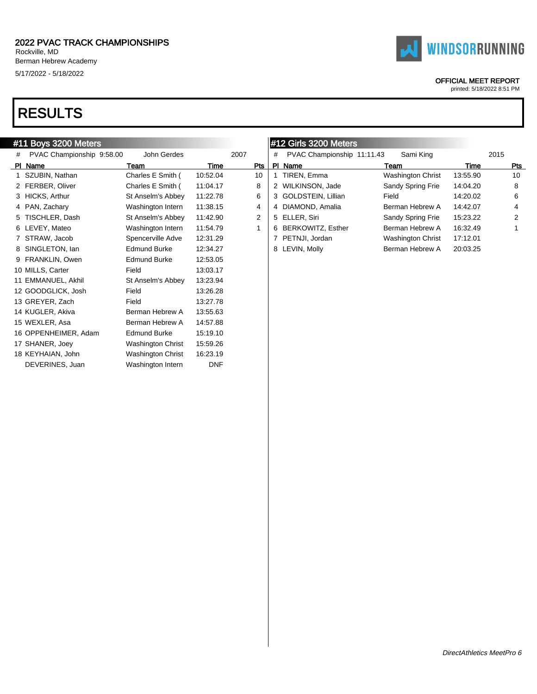

# #11 Boys 3200 Meters

| #11 Boys 3200 Meters        |                          |            |      |   | $\parallel$ #12 Girls 3200 Meters |                          |          |      |
|-----------------------------|--------------------------|------------|------|---|-----------------------------------|--------------------------|----------|------|
| # PVAC Championship 9:58.00 | John Gerdes              |            | 2007 | # | PVAC Championship 11:11.43        | Sami King                |          | 2015 |
| PI Name                     | Team                     | Time       | Pts  |   | PI Name                           | Team                     | Time     | Pts  |
| 1 SZUBIN, Nathan            | Charles E Smith (        | 10:52.04   | 10   |   | TIREN, Emma                       | <b>Washington Christ</b> | 13:55.90 | 10   |
| 2 FERBER, Oliver            | Charles E Smith (        | 11:04.17   | 8    |   | 2 WILKINSON, Jade                 | Sandy Spring Frie        | 14:04.20 | 8    |
| 3 HICKS, Arthur             | St Anselm's Abbey        | 11:22.78   | 6    |   | 3 GOLDSTEIN, Lillian              | Field                    | 14:20.02 | 6    |
| 4 PAN, Zachary              | Washington Intern        | 11:38.15   | 4    |   | 4 DIAMOND, Amalia                 | Berman Hebrew A          | 14:42.07 | 4    |
| 5 TISCHLER, Dash            | St Anselm's Abbey        | 11:42.90   | 2    |   | 5 ELLER, Siri                     | Sandy Spring Frie        | 15:23.22 | 2    |
| 6 LEVEY, Mateo              | Washington Intern        | 11:54.79   | -1   |   | 6 BERKOWITZ, Esther               | Berman Hebrew A          | 16:32.49 |      |
| 7 STRAW, Jacob              | Spencerville Adve        | 12:31.29   |      |   | PETNJI, Jordan                    | Washington Christ        | 17:12.01 |      |
| 8 SINGLETON, Ian            | <b>Edmund Burke</b>      | 12:34.27   |      |   | 8 LEVIN, Molly                    | Berman Hebrew A          | 20:03.25 |      |
| 9 FRANKLIN, Owen            | <b>Edmund Burke</b>      | 12:53.05   |      |   |                                   |                          |          |      |
| 10 MILLS, Carter            | Field                    | 13:03.17   |      |   |                                   |                          |          |      |
| 11 EMMANUEL, Akhil          | St Anselm's Abbey        | 13:23.94   |      |   |                                   |                          |          |      |
| 12 GOODGLICK, Josh          | Field                    | 13:26.28   |      |   |                                   |                          |          |      |
| 13 GREYER, Zach             | Field                    | 13:27.78   |      |   |                                   |                          |          |      |
| 14 KUGLER, Akiva            | Berman Hebrew A          | 13:55.63   |      |   |                                   |                          |          |      |
| 15 WEXLER, Asa              | Berman Hebrew A          | 14:57.88   |      |   |                                   |                          |          |      |
| 16 OPPENHEIMER, Adam        | <b>Edmund Burke</b>      | 15:19.10   |      |   |                                   |                          |          |      |
| 17 SHANER, Joey             | <b>Washington Christ</b> | 15:59.26   |      |   |                                   |                          |          |      |
| 18 KEYHAIAN, John           | <b>Washington Christ</b> | 16:23.19   |      |   |                                   |                          |          |      |
| DEVERINES, Juan             | Washington Intern        | <b>DNF</b> |      |   |                                   |                          |          |      |
|                             |                          |            |      |   |                                   |                          |          |      |



### OFFICIAL MEET REPORT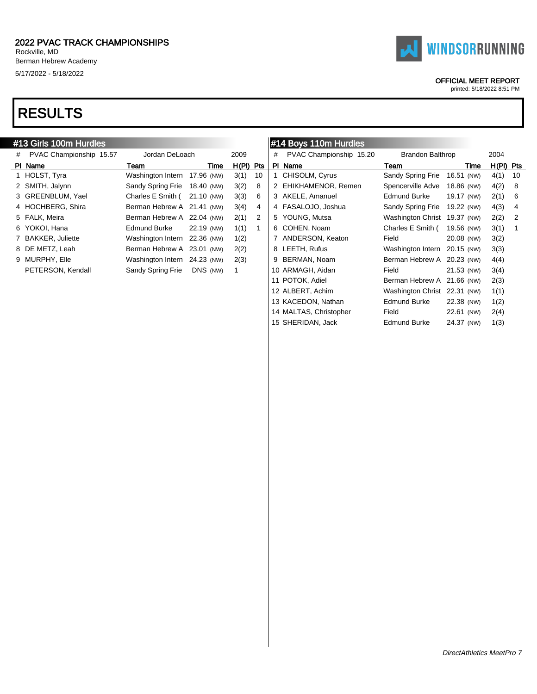# RESULTS

#### #13 Girls 100m Hurdles # PVAC Championship 15.57 Jordan DeLoach 2009 PI Name Team Team Team Time H(PI) Pts 1 HOLST, Tyra Washington Intern 17.96 (NW) 3(1) 10 2 SMITH, Jalynn Sandy Spring Frie 18.40 (NW) 3(2) 8 3 GREENBLUM, Yael Charles E Smith ( 21.10 (NW) 3(3) 6 4 HOCHBERG, Shira Berman Hebrew A 21.41 (NW) 3(4) 4 5 FALK, Meira **Berman Hebrew A 22.04 (NW)** 2(1) 2 6 YOKOI, Hana Edmund Burke 22.19 (NW) 1(1) 1 7 BAKKER, Juliette Washington Intern 22.36 (NW) 1(2) 8 DE METZ, Leah Berman Hebrew A 23.01 (NW) 2(2) 9 MURPHY, Elle Washington Intern 24.23 (NW) 2(3) PETERSON, Kendall Sandy Spring Frie DNS (NW) 1 #14 Boys 110m Hurdles # PVAC Championship 15.20 Brandon Balthrop 2004 PI Name Team Team Team Time H(PI) Pts 1 CHISOLM, Cyrus Sandy Spring Frie 16.51 (NW) 4(1) 10 2 EHIKHAMENOR, Remen Spencerville Adve 18.86 (NW) 4(2) 8 3 AKELE, Amanuel Edmund Burke 19.17 (NW) 2(1) 6 4 FASALOJO, Joshua Sandy Spring Frie 19.22 (NW) 4(3) 4 5 YOUNG, Mutsa Washington Christ 19.37 (NW) 2(2) 2 6 COHEN, Noam Charles E Smith ( 19.56 (NW) 3(1) 1 7 ANDERSON, Keaton Field 20.08 (NW) 3(2) 8 LEETH, Rufus Washington Intern 20.15 (NW) 3(3) 9 BERMAN, Noam Berman Hebrew A 20.23 (NW) 4(4) 10 ARMAGH, Aidan Field 21.53 (NW) 3(4) 11 POTOK, Adiel Berman Hebrew A 21.66 (NW) 2(3) 12 ALBERT, Achim Washington Christ 22.31 (NW) 1(1) 13 KACEDON, Nathan Edmund Burke 22.38 (NW) 1(2) 14 MALTAS, Christopher Field 22.61 (NW) 2(4)

printed: 5/18/2022 8:51 PM

15 SHERIDAN, Jack Edmund Burke 24.37 (NW) 1(3)

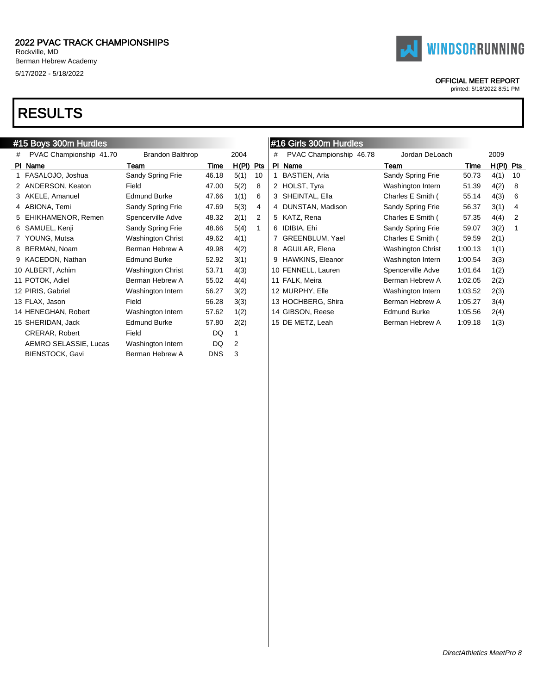# RESULTS

|   | #15 Boys 300m Hurdles   |                          |            |             |    |   | #16 Girls 300m Hurdles  |                          |         |             |    |
|---|-------------------------|--------------------------|------------|-------------|----|---|-------------------------|--------------------------|---------|-------------|----|
| # | PVAC Championship 41.70 | <b>Brandon Balthrop</b>  |            | 2004        |    | # | PVAC Championship 46.78 | Jordan DeLoach           |         | 2009        |    |
|   | PI Name                 | Team                     | Time       | $H(PI)$ Pts |    |   | PI Name                 | Team                     | Time    | $H(PI)$ Pts |    |
|   | 1 FASALOJO, Joshua      | Sandy Spring Frie        | 46.18      | 5(1)        | 10 |   | <b>BASTIEN, Aria</b>    | Sandy Spring Frie        | 50.73   | 4(1)        | 10 |
|   | 2 ANDERSON, Keaton      | Field                    | 47.00      | 5(2)        | 8  |   | 2 HOLST, Tyra           | Washington Intern        | 51.39   | 4(2)        | 8  |
|   | 3 AKELE, Amanuel        | <b>Edmund Burke</b>      | 47.66      | 1(1)        | 6  |   | 3 SHEINTAL, Ella        | Charles E Smith (        | 55.14   | 4(3)        | 6  |
|   | 4 ABIONA, Temi          | Sandy Spring Frie        | 47.69      | 5(3)        | 4  |   | 4 DUNSTAN, Madison      | Sandy Spring Frie        | 56.37   | 3(1)        | 4  |
|   | 5 EHIKHAMENOR, Remen    | Spencerville Adve        | 48.32      | 2(1)        | 2  |   | 5 KATZ, Rena            | Charles E Smith (        | 57.35   | 4(4)        | 2  |
|   | 6 SAMUEL, Kenji         | Sandy Spring Frie        | 48.66      | 5(4)        |    |   | 6 IDIBIA, Ehi           | Sandy Spring Frie        | 59.07   | 3(2)        |    |
|   | 7 YOUNG, Mutsa          | <b>Washington Christ</b> | 49.62      | 4(1)        |    |   | 7 GREENBLUM, Yael       | Charles E Smith (        | 59.59   | 2(1)        |    |
|   | 8 BERMAN, Noam          | Berman Hebrew A          | 49.98      | 4(2)        |    |   | 8 AGUILAR, Elena        | <b>Washington Christ</b> | 1:00.13 | 1(1)        |    |
|   | 9 KACEDON, Nathan       | <b>Edmund Burke</b>      | 52.92      | 3(1)        |    |   | 9 HAWKINS, Eleanor      | Washington Intern        | 1:00.54 | 3(3)        |    |
|   | 10 ALBERT, Achim        | <b>Washington Christ</b> | 53.71      | 4(3)        |    |   | 10 FENNELL, Lauren      | Spencerville Adve        | 1:01.64 | 1(2)        |    |
|   | 11 POTOK, Adiel         | Berman Hebrew A          | 55.02      | 4(4)        |    |   | 11 FALK, Meira          | Berman Hebrew A          | 1:02.05 | 2(2)        |    |
|   | 12 PIRIS, Gabriel       | Washington Intern        | 56.27      | 3(2)        |    |   | 12 MURPHY, Elle         | Washington Intern        | 1:03.52 | 2(3)        |    |
|   | 13 FLAX, Jason          | Field                    | 56.28      | 3(3)        |    |   | 13 HOCHBERG, Shira      | Berman Hebrew A          | 1:05.27 | 3(4)        |    |
|   | 14 HENEGHAN, Robert     | Washington Intern        | 57.62      | 1(2)        |    |   | 14 GIBSON, Reese        | <b>Edmund Burke</b>      | 1:05.56 | 2(4)        |    |
|   | 15 SHERIDAN, Jack       | <b>Edmund Burke</b>      | 57.80      | 2(2)        |    |   | 15 DE METZ, Leah        | Berman Hebrew A          | 1:09.18 | 1(3)        |    |
|   | <b>CRERAR, Robert</b>   | Field                    | DQ         | 1           |    |   |                         |                          |         |             |    |
|   | AEMRO SELASSIE, Lucas   | Washington Intern        | DQ         | 2           |    |   |                         |                          |         |             |    |
|   | BIENSTOCK, Gavi         | Berman Hebrew A          | <b>DNS</b> | 3           |    |   |                         |                          |         |             |    |
|   |                         |                          |            |             |    |   |                         |                          |         |             |    |

à.

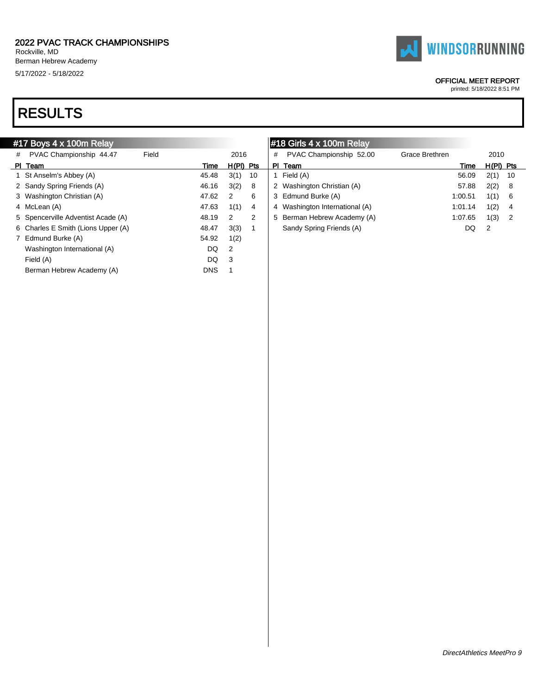# RESULTS

# #17 Boys 4 x 100m Relay

| #  | PVAC Championship 44.47            | Field |            | 2016  |     | # |
|----|------------------------------------|-------|------------|-------|-----|---|
| ΡI | Team                               |       | Time       | H(PI) | Pts | Р |
|    | St Anselm's Abbey (A)              |       | 45.48      | 3(1)  | 10  | 1 |
|    | 2 Sandy Spring Friends (A)         |       | 46.16      | 3(2)  | 8   | 2 |
| 3  | Washington Christian (A)           |       | 47.62      | 2     | 6   | 3 |
| 4  | McLean (A)                         |       | 47.63      | 1(1)  | 4   | 4 |
|    | 5 Spencerville Adventist Acade (A) |       | 48.19      | 2     | 2   | 5 |
| 6  | Charles E Smith (Lions Upper (A)   |       | 48.47      | 3(3)  | 1   |   |
| 7  | Edmund Burke (A)                   |       | 54.92      | 1(2)  |     |   |
|    | Washington International (A)       |       | DQ         | 2     |     |   |
|    | Field (A)                          |       | DQ         | 3     |     |   |
|    | Berman Hebrew Academy (A)          |       | <b>DNS</b> | 1     |     |   |
|    |                                    |       |            |       |     |   |

# #18 Girls 4 x 100m Relay

| # | PVAC Championship 52.00        | Grace Brethren |         | 2010  |     |
|---|--------------------------------|----------------|---------|-------|-----|
| Р | Team                           |                | Time    | H(PI) | Pts |
| 1 | Field (A)                      |                | 56.09   | 2(1)  | 10  |
|   | 2 Washington Christian (A)     |                | 57.88   | 2(2)  | 8   |
|   | 3 Edmund Burke (A)             |                | 1:00.51 | 1(1)  | 6   |
|   | 4 Washington International (A) |                | 1:01.14 | 1(2)  | 4   |
|   | 5 Berman Hebrew Academy (A)    |                | 1:07.65 | 1(3)  | 2   |
|   | Sandy Spring Friends (A)       |                | DQ      | 2     |     |



#### OFFICIAL MEET REPORT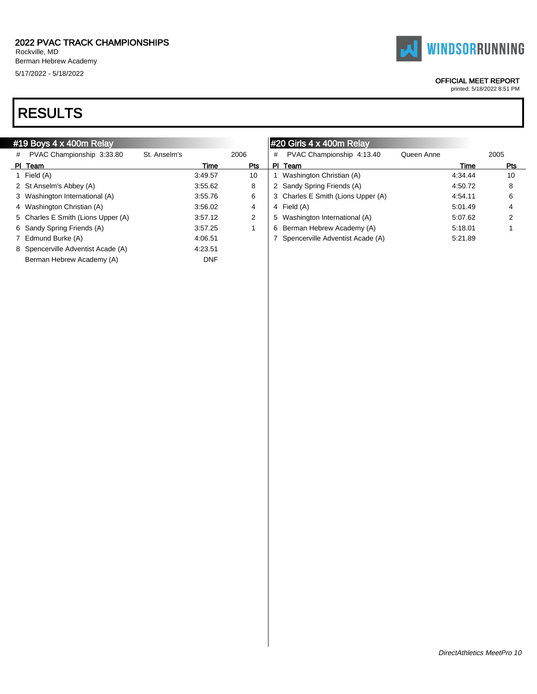Berman Hebrew Academy (A) DNF



# #19 Boys 4 x 400m Relay

|  | <b>FAI WINDSORRUNNING</b> |
|--|---------------------------|
|  | OCCIOIAI MEET DEDODT      |

**ICIAL MEET REPORT** 

|   | #19 Boys $4 \times 400$ m Relay    |              |         |      |   | $\parallel$ #20 Girls 4 x 400m Relay |            |         |      |
|---|------------------------------------|--------------|---------|------|---|--------------------------------------|------------|---------|------|
| # | PVAC Championship 3:33.80          | St. Anselm's |         | 2006 | # | PVAC Championship 4:13.40            | Queen Anne |         | 2005 |
|   | PI Team                            |              | Time    | Pts  |   | PI Team                              |            | Time    | Pts  |
|   | Field (A)                          |              | 3:49.57 | 10   |   | Washington Christian (A)             |            | 4:34.44 | 10   |
|   | 2 St Anselm's Abbey (A)            |              | 3:55.62 | 8    |   | 2 Sandy Spring Friends (A)           |            | 4:50.72 | 8    |
|   | 3 Washington International (A)     |              | 3:55.76 | 6    |   | 3 Charles E Smith (Lions Upper (A)   |            | 4:54.11 | 6    |
|   | 4 Washington Christian (A)         |              | 3:56.02 | 4    |   | 4 Field (A)                          |            | 5:01.49 | 4    |
|   | 5 Charles E Smith (Lions Upper (A) |              | 3:57.12 | 2    |   | 5 Washington International (A)       |            | 5:07.62 | 2    |
|   | 6 Sandy Spring Friends (A)         |              | 3:57.25 |      |   | 6 Berman Hebrew Academy (A)          |            | 5:18.01 |      |
|   | 7 Edmund Burke (A)                 |              | 4:06.51 |      |   | Spencerville Adventist Acade (A)     |            | 5:21.89 |      |
|   | 8 Spencerville Adventist Acade (A) |              | 4:23.51 |      |   |                                      |            |         |      |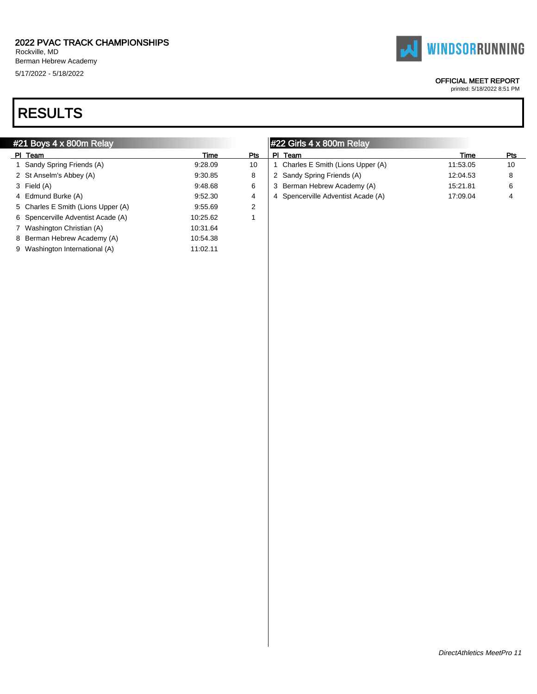### 2022 PVAC TRACK CHAMPIONSHIPS Rockville, MD Berman Hebrew Academy

5/17/2022 - 5/18/2022

# RESULTS

|  | #21 Boys 4 x 800m Relay |  |
|--|-------------------------|--|
|  |                         |  |

| ΡI | Team                               | Time     | Pts | Р |
|----|------------------------------------|----------|-----|---|
|    | 1 Sandy Spring Friends (A)         | 9.28.09  | 10  | 1 |
|    | 2 St Anselm's Abbey (A)            | 9.30.85  | 8   | 2 |
|    | 3 Field (A)                        | 9:48.68  | 6   | З |
|    | 4 Edmund Burke (A)                 | 9:52.30  | 4   | 4 |
|    | 5 Charles E Smith (Lions Upper (A) | 9.55.69  | 2   |   |
|    | 6 Spencerville Adventist Acade (A) | 10:25.62 | 1   |   |
|    | 7 Washington Christian (A)         | 10:31.64 |     |   |
|    | 8 Berman Hebrew Academy (A)        | 10:54.38 |     |   |
|    | 9 Washington International (A)     | 11:02.11 |     |   |
|    |                                    |          |     |   |

# #22 Girls 4 x 800m Relay

| Team                               | Time     | Pts |
|------------------------------------|----------|-----|
| 1 Charles E Smith (Lions Upper (A) | 11:53.05 | 10  |
| 2 Sandy Spring Friends (A)         | 12:04.53 | 8   |
| 3 Berman Hebrew Academy (A)        | 15:21.81 | 6   |
| 4 Spencerville Adventist Acade (A) | 17:09.04 | 4   |



# OFFICIAL MEET REPORT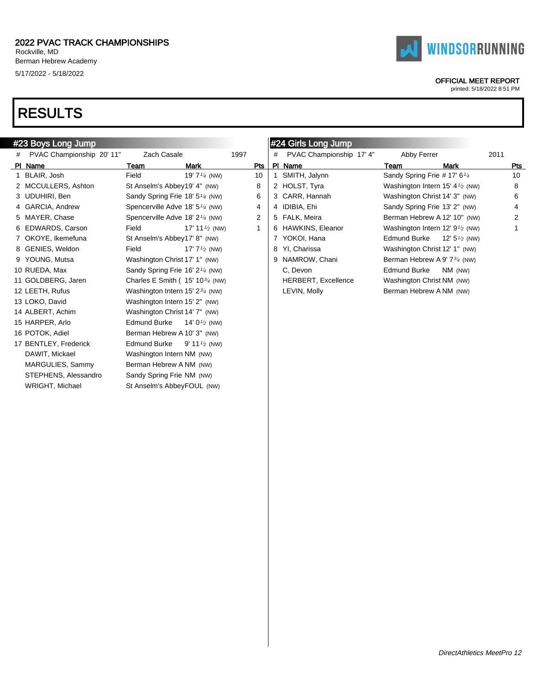

### OFFICIAL MEET REPORT

printed: 5/18/2022 8:51 PM

# RESULTS

|   | #23 Boys Long Jump        |                                             |                           |                |   | #24 Girls Long Jump        |                                            |                          |      |
|---|---------------------------|---------------------------------------------|---------------------------|----------------|---|----------------------------|--------------------------------------------|--------------------------|------|
| # | PVAC Championship 20' 11" | Zach Casale                                 |                           | 1997           | # | PVAC Championship 17' 4"   | Abby Ferrer                                |                          | 2011 |
|   | PI Name                   | Team                                        | Mark                      | <b>Pts</b>     |   | PI Name                    | Team                                       | Mark                     | Pts  |
|   | 1 BLAIR, Josh             | Field                                       | 19' $7\frac{1}{4}$ (NW)   | 10             |   | SMITH, Jalynn              | Sandy Spring Frie # 17' 6 <sup>1/4</sup>   |                          | 10   |
|   | 2 MCCULLERS, Ashton       | St Anselm's Abbey19' 4" (NW)                |                           | 8              |   | 2 HOLST, Tyra              | Washington Intern 15' 4 $\frac{1}{2}$ (NW) |                          | 8    |
|   | 3 UDUHIRI, Ben            | Sandy Spring Frie 18' 5 <sup>1/4</sup> (NW) |                           | 6              |   | 3 CARR, Hannah             | Washington Christ 14' 3" (NW)              |                          | 6    |
|   | 4 GARCIA, Andrew          | Spencerville Adve 18' 5 <sup>1/4</sup> (NW) |                           | 4              |   | 4 IDIBIA, Ehi              | Sandy Spring Frie 13' 2" (NW)              |                          | 4    |
|   | 5 MAYER, Chase            | Spencerville Adve 18' 2 <sup>1/4</sup> (NW) |                           | $\overline{2}$ |   | 5 FALK, Meira              | Berman Hebrew A 12' 10" (NW)               |                          | 2    |
|   | 6 EDWARDS, Carson         | Field                                       | 17' 11 $\frac{1}{2}$ (NW) | 1              |   | 6 HAWKINS, Eleanor         | Washington Intern 12' $9\frac{1}{2}$ (NW)  |                          |      |
|   | 7 OKOYE, Ikemefuna        | St Anselm's Abbey17' 8" (NW)                |                           |                |   | 7 YOKOI, Hana              | Edmund Burke                               | 12' 5 $\frac{1}{2}$ (NW) |      |
|   | 8 GENIES, Weldon          | Field                                       | 17' $7\frac{1}{2}$ (NW)   |                |   | 8 YI, Charissa             | Washington Christ 12' 1" (NW)              |                          |      |
|   | 9 YOUNG, Mutsa            | Washington Christ 17' 1" (NW)               |                           |                | 9 | NAMROW, Chani              | Berman Hebrew A 9' 7 <sup>3/4</sup> (NW)   |                          |      |
|   | 10 RUEDA, Max             | Sandy Spring Frie 16' 2 <sup>1/4</sup> (NW) |                           |                |   | C. Devon                   | <b>Edmund Burke</b>                        | NM (NW)                  |      |
|   | 11 GOLDBERG, Jaren        | Charles E Smith ( $15' 10^{3/4}$ (NW)       |                           |                |   | <b>HERBERT, Excellence</b> | Washington Christ NM (NW)                  |                          |      |
|   | 12 LEETH, Rufus           | Washington Intern 15' 2 <sup>3/4</sup> (NW) |                           |                |   | LEVIN, Molly               | Berman Hebrew A NM (NW)                    |                          |      |
|   | 13 LOKO, David            | Washington Intern 15' 2" (NW)               |                           |                |   |                            |                                            |                          |      |
|   | 14 ALBERT, Achim          | Washington Christ 14' 7" (NW)               |                           |                |   |                            |                                            |                          |      |
|   | 15 HARPER, Arlo           | <b>Edmund Burke</b>                         | 14' 0 $\frac{1}{2}$ (NW)  |                |   |                            |                                            |                          |      |
|   | 16 POTOK, Adiel           | Berman Hebrew A 10' 3" (NW)                 |                           |                |   |                            |                                            |                          |      |
|   | 17 BENTLEY, Frederick     | <b>Edmund Burke</b>                         | 9' 11 $\frac{1}{2}$ (NW)  |                |   |                            |                                            |                          |      |
|   | DAWIT, Mickael            | Washington Intern NM (NW)                   |                           |                |   |                            |                                            |                          |      |
|   | MARGULIES, Sammy          | Berman Hebrew A NM (NW)                     |                           |                |   |                            |                                            |                          |      |
|   | STEPHENS, Alessandro      | Sandy Spring Frie NM (NW)                   |                           |                |   |                            |                                            |                          |      |
|   | WRIGHT, Michael           | St Anselm's AbbeyFOUL (NW)                  |                           |                |   |                            |                                            |                          |      |
|   |                           |                                             |                           |                |   |                            |                                            |                          |      |

à.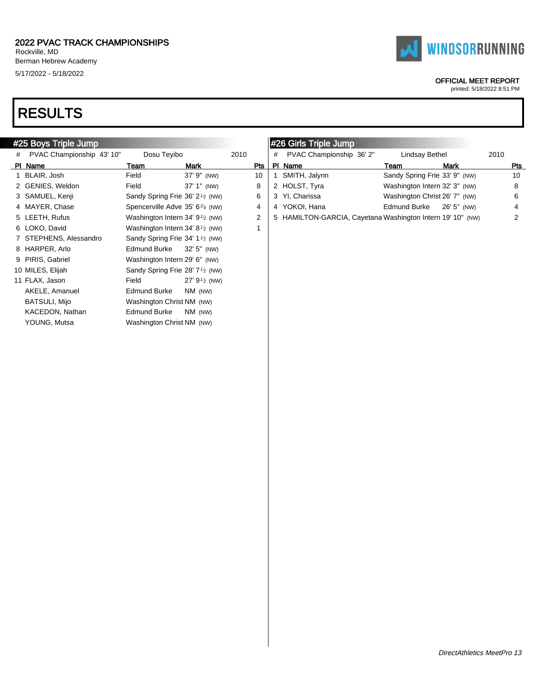

### OFFICIAL MEET REPORT

printed: 5/18/2022 8:51 PM

| PVAC Championship 43' 10" |                                                                                                                                                                                                                                                                                     |               |                                                                                                                                                                                                                                                                                                                                                                                                                                     |     | <b>I</b> #26 Girls Triple Jump |                                                             |      |                                                                                                                                                                              |     |
|---------------------------|-------------------------------------------------------------------------------------------------------------------------------------------------------------------------------------------------------------------------------------------------------------------------------------|---------------|-------------------------------------------------------------------------------------------------------------------------------------------------------------------------------------------------------------------------------------------------------------------------------------------------------------------------------------------------------------------------------------------------------------------------------------|-----|--------------------------------|-------------------------------------------------------------|------|------------------------------------------------------------------------------------------------------------------------------------------------------------------------------|-----|
|                           | Dosu Teyibo                                                                                                                                                                                                                                                                         |               | 2010                                                                                                                                                                                                                                                                                                                                                                                                                                | #   | PVAC Championship 36' 2"       | Lindsay Bethel                                              |      | 2010                                                                                                                                                                         |     |
|                           | Team                                                                                                                                                                                                                                                                                | Mark          |                                                                                                                                                                                                                                                                                                                                                                                                                                     |     |                                | Team                                                        | Mark |                                                                                                                                                                              | Pts |
|                           | Field                                                                                                                                                                                                                                                                               | 37' 9" (NW)   | 10                                                                                                                                                                                                                                                                                                                                                                                                                                  |     | SMITH, Jalynn                  |                                                             |      |                                                                                                                                                                              | 10  |
|                           | Field                                                                                                                                                                                                                                                                               | 37' 1" (NW)   | 8                                                                                                                                                                                                                                                                                                                                                                                                                                   |     |                                |                                                             |      |                                                                                                                                                                              | 8   |
|                           |                                                                                                                                                                                                                                                                                     |               | 6                                                                                                                                                                                                                                                                                                                                                                                                                                   |     |                                |                                                             |      |                                                                                                                                                                              | 6   |
|                           |                                                                                                                                                                                                                                                                                     |               | 4                                                                                                                                                                                                                                                                                                                                                                                                                                   |     |                                | Edmund Burke                                                |      |                                                                                                                                                                              | 4   |
|                           |                                                                                                                                                                                                                                                                                     |               | $\overline{2}$                                                                                                                                                                                                                                                                                                                                                                                                                      |     |                                |                                                             |      |                                                                                                                                                                              | 2   |
|                           |                                                                                                                                                                                                                                                                                     |               |                                                                                                                                                                                                                                                                                                                                                                                                                                     |     |                                |                                                             |      |                                                                                                                                                                              |     |
|                           |                                                                                                                                                                                                                                                                                     |               |                                                                                                                                                                                                                                                                                                                                                                                                                                     |     |                                |                                                             |      |                                                                                                                                                                              |     |
|                           | Edmund Burke                                                                                                                                                                                                                                                                        |               |                                                                                                                                                                                                                                                                                                                                                                                                                                     |     |                                |                                                             |      |                                                                                                                                                                              |     |
|                           |                                                                                                                                                                                                                                                                                     |               |                                                                                                                                                                                                                                                                                                                                                                                                                                     |     |                                |                                                             |      |                                                                                                                                                                              |     |
|                           |                                                                                                                                                                                                                                                                                     |               |                                                                                                                                                                                                                                                                                                                                                                                                                                     |     |                                |                                                             |      |                                                                                                                                                                              |     |
|                           | Field                                                                                                                                                                                                                                                                               | 27' $91$ (NW) |                                                                                                                                                                                                                                                                                                                                                                                                                                     |     |                                |                                                             |      |                                                                                                                                                                              |     |
|                           | <b>Edmund Burke</b>                                                                                                                                                                                                                                                                 | NM (NW)       |                                                                                                                                                                                                                                                                                                                                                                                                                                     |     |                                |                                                             |      |                                                                                                                                                                              |     |
|                           |                                                                                                                                                                                                                                                                                     |               |                                                                                                                                                                                                                                                                                                                                                                                                                                     |     |                                |                                                             |      |                                                                                                                                                                              |     |
|                           | <b>Edmund Burke</b>                                                                                                                                                                                                                                                                 |               |                                                                                                                                                                                                                                                                                                                                                                                                                                     |     |                                |                                                             |      |                                                                                                                                                                              |     |
|                           |                                                                                                                                                                                                                                                                                     |               |                                                                                                                                                                                                                                                                                                                                                                                                                                     |     |                                |                                                             |      |                                                                                                                                                                              |     |
|                           |                                                                                                                                                                                                                                                                                     |               |                                                                                                                                                                                                                                                                                                                                                                                                                                     |     |                                |                                                             |      |                                                                                                                                                                              |     |
|                           |                                                                                                                                                                                                                                                                                     |               |                                                                                                                                                                                                                                                                                                                                                                                                                                     |     |                                |                                                             |      |                                                                                                                                                                              |     |
|                           | BLAIR, Josh<br>2 GENIES, Weldon<br>3 SAMUEL, Kenji<br>4 MAYER, Chase<br>5 LEETH, Rufus<br>6 LOKO, David<br>7 STEPHENS, Alessandro<br>8 HARPER, Arlo<br>9 PIRIS, Gabriel<br>10 MILES, Elijah<br>11 FLAX, Jason<br>AKELE, Amanuel<br>BATSULI, Mijo<br>KACEDON, Nathan<br>YOUNG, Mutsa |               | Sandy Spring Frie 36' 2 <sup>1</sup> / <sub>2</sub> (NW)<br>Spencerville Adve 35' 63/4 (NW)<br>Washington Intern 34' $9\frac{1}{2}$ (NW)<br>Washington Intern 34' 8 $\frac{1}{2}$ (NW)<br>Sandy Spring Frie 34' 1 <sup>1</sup> / <sub>2</sub> (NW)<br>32' 5" (NW)<br>Washington Intern 29' 6" (NW)<br>Sandy Spring Frie 28' 7 <sup>1</sup> / <sub>2</sub> (NW)<br>Washington Christ NM (NW)<br>NM (NW)<br>Washington Christ NM (NW) | Pts |                                | PI Name<br>2 HOLST, Tyra<br>3 YI, Charissa<br>4 YOKOI, Hana |      | Sandy Spring Frie 33' 9" (NW)<br>Washington Intern 32' 3" (NW)<br>Washington Christ 26' 7" (NW)<br>26' 5" (NW)<br>5 HAMILTON-GARCIA, Cayetana Washington Intern 19' 10" (NW) |     |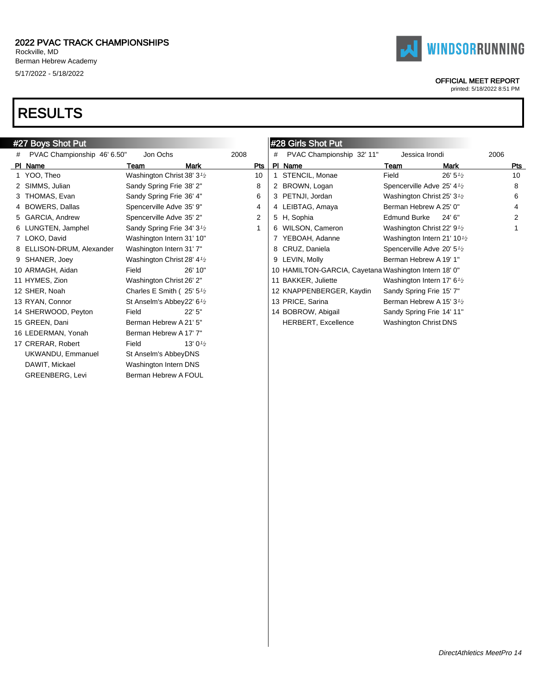

# **WINDSORRUNNING**

### OFFICIAL MEET REPORT

|   | #27 Boys Shot Put           |                                                     |                    |                |   | #28 Girls Shot Put                                    |                                                   |                    |      |
|---|-----------------------------|-----------------------------------------------------|--------------------|----------------|---|-------------------------------------------------------|---------------------------------------------------|--------------------|------|
| # | PVAC Championship 46' 6.50" | Jon Ochs                                            |                    | 2008           | # | PVAC Championship 32' 11"                             | Jessica Irondi                                    |                    | 2006 |
|   | PI Name                     | Team                                                | Mark               | Pts            |   | PI Name                                               | Team                                              | <b>Mark</b>        | Pts  |
|   | 1 YOO, Theo                 | Washington Christ 38' 3 <sup>1</sup> / <sub>2</sub> |                    | 10             |   | 1 STENCIL, Monae                                      | Field                                             | $26' 5\frac{1}{2}$ | 10   |
|   | 2 SIMMS, Julian             | Sandy Spring Frie 38' 2"                            |                    | 8              |   | 2 BROWN, Logan                                        | Spencerville Adve 25' 4 <sup>1/2</sup>            |                    | 8    |
|   | 3 THOMAS, Evan              | Sandy Spring Frie 36' 4"                            |                    | 6              |   | 3 PETNJI, Jordan                                      | Washington Christ 25' 3 <sup>1/2</sup>            |                    | 6    |
|   | 4 BOWERS, Dallas            | Spencerville Adve 35' 9"                            |                    | 4              |   | 4 LEIBTAG, Amaya                                      | Berman Hebrew A 25' 0"                            |                    | 4    |
|   | 5 GARCIA, Andrew            | Spencerville Adve 35' 2"                            |                    | $\overline{2}$ |   | 5 H, Sophia                                           | <b>Edmund Burke</b>                               | 24' 6"             |      |
|   | 6 LUNGTEN, Jamphel          | Sandy Spring Frie 34' 3 <sup>1</sup> / <sub>2</sub> |                    |                |   | 6 WILSON, Cameron                                     | Washington Christ 22' 9 <sup>1/2</sup>            |                    |      |
|   | 7 LOKO, David               | Washington Intern 31' 10"                           |                    |                |   | 7 YEBOAH, Adanne                                      | Washington Intern 21' 10 $\frac{1}{2}$            |                    |      |
|   | 8 ELLISON-DRUM, Alexander   | Washington Intern 31' 7"                            |                    |                |   | 8 CRUZ, Daniela                                       | Spencerville Adve 20' 5 <sup>1/2</sup>            |                    |      |
|   | 9 SHANER, Joey              | Washington Christ 28' 4 <sup>1</sup> / <sub>2</sub> |                    |                |   | 9 LEVIN, Molly                                        | Berman Hebrew A 19' 1"                            |                    |      |
|   | 10 ARMAGH, Aidan            | Field                                               | 26' 10"            |                |   | 10 HAMILTON-GARCIA, Cayetana Washington Intern 18' 0" |                                                   |                    |      |
|   | 11 HYMES, Zion              | Washington Christ 26' 2"                            |                    |                |   | 11 BAKKER, Juliette                                   | Washington Intern 17' 6 $\frac{1}{2}$             |                    |      |
|   | 12 SHER, Noah               | Charles E Smith ( $25'5'2$                          |                    |                |   | 12 KNAPPENBERGER, Kaydin                              | Sandy Spring Frie 15' 7"                          |                    |      |
|   | 13 RYAN, Connor             | St Anselm's Abbey22' 6 <sup>1</sup> /2              |                    |                |   | 13 PRICE, Sarina                                      | Berman Hebrew A 15' 3 <sup>1</sup> / <sub>2</sub> |                    |      |
|   | 14 SHERWOOD, Peyton         | Field                                               | 22'5''             |                |   | 14 BOBROW, Abigail                                    | Sandy Spring Frie 14' 11"                         |                    |      |
|   | 15 GREEN, Dani              | Berman Hebrew A 21' 5"                              |                    |                |   | <b>HERBERT, Excellence</b>                            | Washington Christ DNS                             |                    |      |
|   | 16 LEDERMAN, Yonah          | Berman Hebrew A 17' 7"                              |                    |                |   |                                                       |                                                   |                    |      |
|   | 17 CRERAR, Robert           | Field                                               | 13' $0\frac{1}{2}$ |                |   |                                                       |                                                   |                    |      |
|   | UKWANDU, Emmanuel           | St Anselm's AbbeyDNS                                |                    |                |   |                                                       |                                                   |                    |      |
|   | DAWIT, Mickael              | Washington Intern DNS                               |                    |                |   |                                                       |                                                   |                    |      |
|   | <b>GREENBERG, Levi</b>      | Berman Hebrew A FOUL                                |                    |                |   |                                                       |                                                   |                    |      |
|   |                             |                                                     |                    |                |   |                                                       |                                                   |                    |      |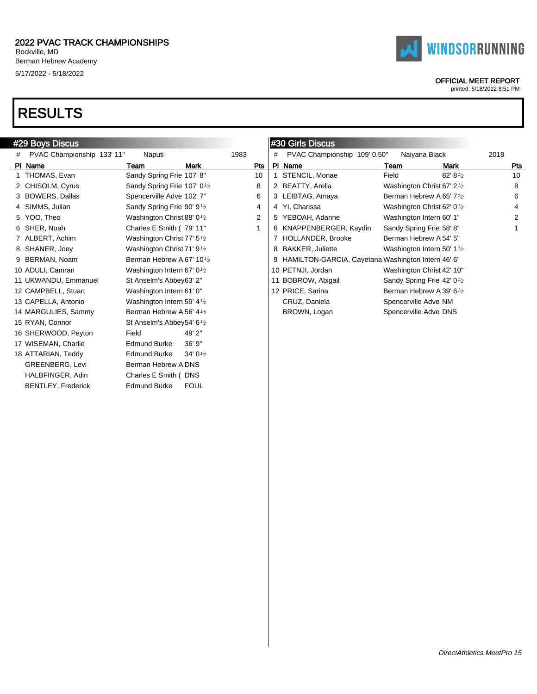



### OFFICIAL MEET REPORT

|   | #29 Boys Discus            |                                                     |                    |      |   | #30 Girls Discus                                     |                                                     |             |      |
|---|----------------------------|-----------------------------------------------------|--------------------|------|---|------------------------------------------------------|-----------------------------------------------------|-------------|------|
| # | PVAC Championship 133' 11" | Naputi                                              |                    | 1983 | # | PVAC Championship 109' 0.50"                         | Naiyana Black                                       |             | 2018 |
|   | PI Name                    | Team                                                | <b>Mark</b>        | Pts  |   | PI Name                                              | Team                                                | <b>Mark</b> | Pts  |
|   | 1 THOMAS, Evan             | Sandy Spring Frie 107' 8"                           |                    | 10   |   | STENCIL, Monae                                       | Field                                               | 82' 81/2    | 10   |
|   | 2 CHISOLM, Cyrus           | Sandy Spring Frie 107' 0 <sup>1</sup> /2            |                    | 8    |   | 2 BEATTY, Arella                                     | Washington Christ 67' 2 <sup>1</sup> / <sub>2</sub> |             | 8    |
|   | 3 BOWERS, Dallas           | Spencerville Adve 102' 7"                           |                    | 6    |   | 3 LEIBTAG, Amaya                                     | Berman Hebrew A 65' 7 <sup>1</sup> /2               |             | 6    |
|   | 4 SIMMS, Julian            | Sandy Spring Frie 90' 9 <sup>1</sup> /2             |                    | 4    |   | 4 YI, Charissa                                       | Washington Christ 62' 0 <sup>1</sup> / <sub>2</sub> |             | 4    |
|   | 5 YOO, Theo                | Washington Christ 88' 0 <sup>1</sup> /2             |                    | 2    |   | 5 YEBOAH, Adanne                                     | Washington Intern 60' 1"                            |             | 2    |
|   | 6 SHER, Noah               | Charles E Smith (79' 11"                            |                    |      |   | 6 KNAPPENBERGER, Kaydin                              | Sandy Spring Frie 58' 8"                            |             |      |
|   | 7 ALBERT, Achim            | Washington Christ 77' 5 <sup>1</sup> / <sub>2</sub> |                    |      |   | 7 HOLLANDER, Brooke                                  | Berman Hebrew A 54' 5"                              |             |      |
|   | 8 SHANER, Joey             | Washington Christ 71' 9 <sup>1</sup> / <sub>2</sub> |                    |      |   | 8 BAKKER, Juliette                                   | Washington Intern 50' 1 <sup>1</sup> / <sub>2</sub> |             |      |
|   | 9 BERMAN, Noam             | Berman Hebrew A 67' 10 <sup>1</sup> /2              |                    |      |   | 9 HAMILTON-GARCIA, Cayetana Washington Intern 46' 6" |                                                     |             |      |
|   | 10 ADULI, Camran           | Washington Intern 67' 0 <sup>1</sup> /2             |                    |      |   | 10 PETNJI, Jordan                                    | Washington Christ 42' 10"                           |             |      |
|   | 11 UKWANDU, Emmanuel       | St Anselm's Abbey63' 2"                             |                    |      |   | 11 BOBROW, Abigail                                   | Sandy Spring Frie 42' 0 <sup>1</sup> /2             |             |      |
|   | 12 CAMPBELL, Stuart        | Washington Intern 61' 0"                            |                    |      |   | 12 PRICE, Sarina                                     | Berman Hebrew A 39' 6 <sup>1</sup> /2               |             |      |
|   | 13 CAPELLA, Antonio        | Washington Intern 59' 4 <sup>1</sup> / <sub>2</sub> |                    |      |   | CRUZ, Daniela                                        | Spencerville Adve NM                                |             |      |
|   | 14 MARGULIES, Sammy        | Berman Hebrew A 56' 4 <sup>1</sup> / <sub>2</sub>   |                    |      |   | BROWN, Logan                                         | Spencerville Adve DNS                               |             |      |
|   | 15 RYAN, Connor            | St Anselm's Abbey54' 6 <sup>1</sup> /2              |                    |      |   |                                                      |                                                     |             |      |
|   | 16 SHERWOOD, Peyton        | Field                                               | 49' 2"             |      |   |                                                      |                                                     |             |      |
|   | 17 WISEMAN, Charlie        | <b>Edmund Burke</b>                                 | 36' 9"             |      |   |                                                      |                                                     |             |      |
|   | 18 ATTARIAN, Teddy         | <b>Edmund Burke</b>                                 | 34' $0\frac{1}{2}$ |      |   |                                                      |                                                     |             |      |
|   | <b>GREENBERG, Levi</b>     | Berman Hebrew A DNS                                 |                    |      |   |                                                      |                                                     |             |      |
|   | HALBFINGER, Adin           | Charles E Smith (DNS                                |                    |      |   |                                                      |                                                     |             |      |
|   | <b>BENTLEY, Frederick</b>  | <b>Edmund Burke</b>                                 | <b>FOUL</b>        |      |   |                                                      |                                                     |             |      |
|   |                            |                                                     |                    |      |   |                                                      |                                                     |             |      |